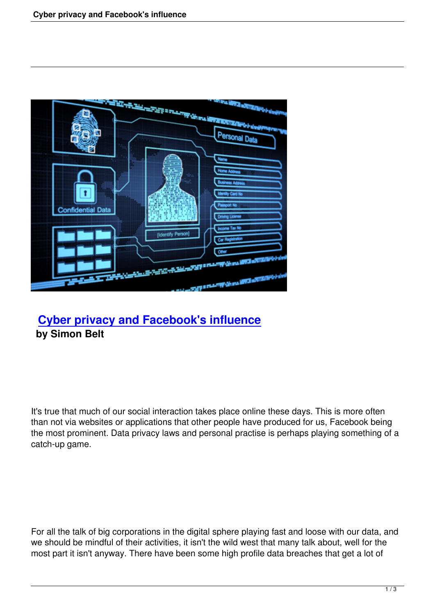

## **Cyber privacy and Facebook's influence by Simon Belt**

It's true that much of our social interaction takes place online these days. This is more often than not via websites or applications that other people have produced for us, Facebook being the most prominent. Data privacy laws and personal practise is perhaps playing something of a catch-up game.

For all the talk of big corporations in the digital sphere playing fast and loose with our data, and we should be mindful of their activities, it isn't the wild west that many talk about, well for the most part it isn't anyway. There have been some high profile data breaches that get a lot of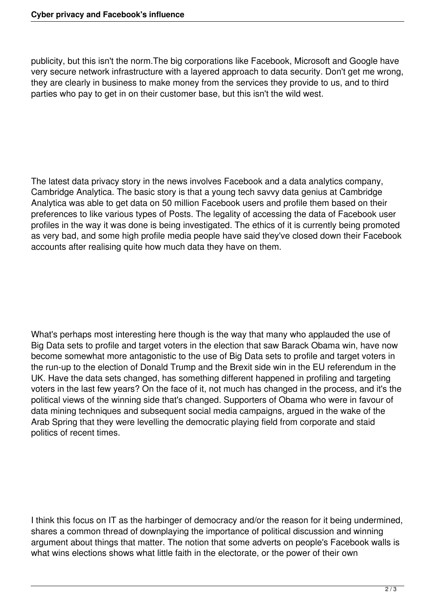publicity, but this isn't the norm.The big corporations like Facebook, Microsoft and Google have very secure network infrastructure with a layered approach to data security. Don't get me wrong, they are clearly in business to make money from the services they provide to us, and to third parties who pay to get in on their customer base, but this isn't the wild west.

The latest data privacy story in the news involves Facebook and a data analytics company, Cambridge Analytica. The basic story is that a young tech savvy data genius at Cambridge Analytica was able to get data on 50 million Facebook users and profile them based on their preferences to like various types of Posts. The legality of accessing the data of Facebook user profiles in the way it was done is being investigated. The ethics of it is currently being promoted as very bad, and some high profile media people have said they've closed down their Facebook accounts after realising quite how much data they have on them.

What's perhaps most interesting here though is the way that many who applauded the use of Big Data sets to profile and target voters in the election that saw Barack Obama win, have now become somewhat more antagonistic to the use of Big Data sets to profile and target voters in the run-up to the election of Donald Trump and the Brexit side win in the EU referendum in the UK. Have the data sets changed, has something different happened in profiling and targeting voters in the last few years? On the face of it, not much has changed in the process, and it's the political views of the winning side that's changed. Supporters of Obama who were in favour of data mining techniques and subsequent social media campaigns, argued in the wake of the Arab Spring that they were levelling the democratic playing field from corporate and staid politics of recent times.

I think this focus on IT as the harbinger of democracy and/or the reason for it being undermined, shares a common thread of downplaying the importance of political discussion and winning argument about things that matter. The notion that some adverts on people's Facebook walls is what wins elections shows what little faith in the electorate, or the power of their own